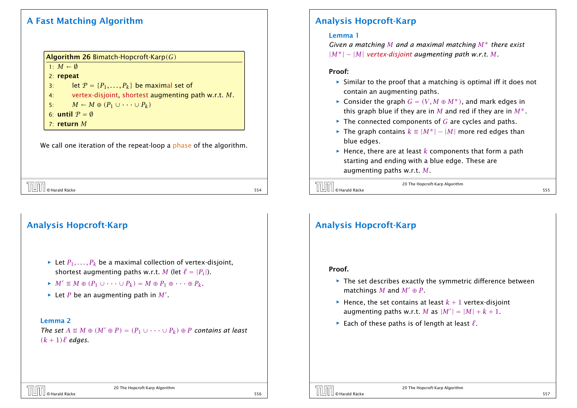### A Fast Matching Algorithm

| <b>Algorithm 26 Bimatch-Hopcroft-Karp</b> $(G)$              |  |  |  |  |
|--------------------------------------------------------------|--|--|--|--|
| 1: $M \leftarrow \emptyset$                                  |  |  |  |  |
| $2:$ repeat                                                  |  |  |  |  |
| let $P = \{P_1, \ldots, P_k\}$ be maximal set of<br>3:       |  |  |  |  |
| vertex-disjoint, shortest augmenting path w.r.t. $M$ .<br>4: |  |  |  |  |
| $M \leftarrow M \oplus (P_1 \cup \cdots \cup P_k)$<br>5:     |  |  |  |  |
| 6: until $P = \emptyset$                                     |  |  |  |  |
| 7: return $M$                                                |  |  |  |  |

We call one iteration of the repeat-loop a phase of the algorithm.

 $\overline{0}$  Marald Räcke 554

# Analysis Hopcroft-Karp  $\blacktriangleright$  Let  $P_1, \ldots, P_k$  be a maximal collection of vertex-disjoint, shortest augmenting paths w.r.t. *M* (let  $\ell = |P_i|$ ).

- $M' \triangleq M \oplus (P_1 \cup \cdots \cup P_k) = M \oplus P_1 \oplus \cdots \oplus P_k$ .
- Extraphenting path in  $M'$ .

#### Lemma 2

*The set*  $A \triangleq M \oplus (M' \oplus P) = (P_1 \cup \cdots \cup P_k) \oplus P$  *contains at least*  $(k + 1)\ell$  *edges.* 

# Analysis Hopcroft-Karp

#### Lemma 1

*Given a matching M and a maximal matching M*<sup>∗</sup> *there exist*  $|M^*| - |M|$  *vertex-disjoint augmenting path w.r.t. M*.

#### Proof:

- $\triangleright$  Similar to the proof that a matching is optimal iff it does not contain an augmenting paths.
- *►* Consider the graph  $G = (V, M \oplus M^*)$ , and mark edges in this graph blue if they are in *M* and red if they are in  $M^*$ .
- $\blacktriangleright$  The connected components of *G* are cycles and paths.
- *►* The graph contains  $k \text{ } \text{ } \text{ } \text{ } \text{ } \text{ } \text{ } |M^*| |M|$  more red edges than blue edges.
- $\blacktriangleright$  Hence, there are at least *k* components that form a path starting and ending with a blue edge. These are augmenting paths w.r.t. *M*.

| $\sqrt{\frac{1}{n}}$ $\odot$ Harald Räcke | 20 The Hopcroft-Karp Algorithm |  |
|-------------------------------------------|--------------------------------|--|
|                                           |                                |  |

### Analysis Hopcroft-Karp

#### Proof.

- **Follow** The set describes exactly the symmetric difference between matchings *M* and  $M' \oplus P$ .
- $\blacktriangleright$  Hence, the set contains at least  $k + 1$  vertex-disjoint augmenting paths w.r.t. *M* as  $|M'| = |M| + k + 1$ .
- $\blacktriangleright$  Each of these paths is of length at least  $\ell$ .

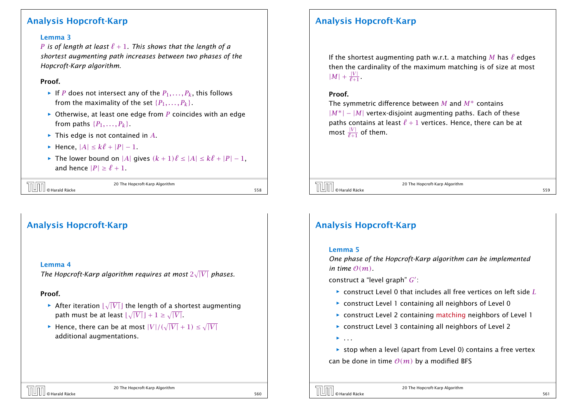### Analysis Hopcroft-Karp

#### Lemma 3

*P* is of length at least  $\ell + 1$ . This shows that the length of a *shortest augmenting path increases between two phases of the Hopcroft-Karp algorithm.*

#### Proof.

- $\blacktriangleright$  If *P* does not intersect any of the  $P_1, \ldots, P_k$ , this follows from the maximality of the set  $\{P_1, \ldots, P_k\}$ .
- $\rightarrow$  Otherwise, at least one edge from *P* coincides with an edge from paths  $\{P_1, \ldots, P_k\}$ .
- *ñ* This edge is not contained in *A*.
- $\blacktriangleright$  Hence,  $|A| \leq k\ell + |P| 1$ .
- $\blacktriangleright$  The lower bound on |*A*| gives  $(k + 1)\ell \le |A| \le k\ell + |P| 1$ , and hence  $|P| \ge \ell + 1$ .

| $\boxed{\boxed{\boxed{\boxed{\boxed{\boxed{\boxed{\boxed{\boxed{\boxed{\boxed{\boxed{\C}}}}}}}}}$ © Harald Räcke<br>20 The Hopcroft-Karp Algorithm |     |
|----------------------------------------------------------------------------------------------------------------------------------------------------|-----|
|                                                                                                                                                    | 558 |

# Analysis Hopcroft-Karp

#### Lemma 4

The Hopcroft-Karp algorithm requires at most  $2\sqrt{|V|}$  phases.

#### Proof.

- $\blacktriangleright$  After iteration  $\lfloor\sqrt{|V|}\rfloor$  the length of a shortest augmenting path must be at least  $\lfloor \sqrt{|V|} \rfloor + 1 \ge \sqrt{|V|}$ .
- ▶ Hence, there can be at most  $|V|/(\sqrt{|V|} + 1) \le \sqrt{|V|}$ additional augmentations.

### Analysis Hopcroft-Karp

If the shortest augmenting path w.r.t. a matching M has  $\ell$  edges then the cardinality of the maximum matching is of size at most  $|M| + \frac{|V|}{\ell+1}.$ 

#### Proof.

The symmetric difference between *M* and *M*<sup>∗</sup> contains |*M*∗| − |*M*| vertex-disjoint augmenting paths. Each of these paths contains at least  $\ell + 1$  vertices. Hence, there can be at most  $\frac{|V|}{\ell+1}$  of them.

 $\boxed{\textcolor{red}{\textcolor{blue}{\textbf{[}}}}$   $\boxed{\textcolor{green}{\textbf{[}}}}$   $\boxed{\textcolor{blue}{\textbf{[}}}}$   $\boxed{\textcolor{blue}{\textbf{[}}}}$   $\boxed{\textcolor{blue}{\textbf{[}}}}$   $\boxed{\textcolor{blue}{\textbf{[}}}}$   $\boxed{\textcolor{blue}{\textbf{[}}}}$   $\boxed{\textcolor{blue}{\textbf{[}}}}$   $\boxed{\textcolor{blue}{\textbf{[}}}}$   $\boxed{\textcolor{blue}{\textbf{[}}}}$   $\boxed{\textcolor{blue}{\textbf{[}}}}$   $\boxed{\textcolor{blue}{\textbf{[}}}}$ 

20 The Hopcroft-Karp Algorithm

# Analysis Hopcroft-Karp

#### Lemma 5

*One phase of the Hopcroft-Karp algorithm can be implemented in time*  $O(m)$ .

construct a "level graph"  $G'$ :

- *ñ* construct Level 0 that includes all free vertices on left side *L*
- **▶ construct Level 1 containing all neighbors of Level 0**
- **Follow 2 containing matching neighbors of Level 1**
- ▶ construct Level 3 containing all neighbors of Level 2
- *ñ* . . .
- ▶ stop when a level (apart from Level 0) contains a free vertex can be done in time  $O(m)$  by a modified BFS